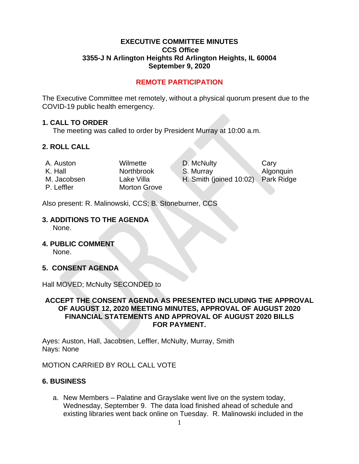## **EXECUTIVE COMMITTEE MINUTES CCS Office 3355-J N Arlington Heights Rd Arlington Heights, IL 60004 September 9, 2020**

# **REMOTE PARTICIPATION**

The Executive Committee met remotely, without a physical quorum present due to the COVID-19 public health emergency.

#### **1. CALL TO ORDER**

The meeting was called to order by President Murray at 10:00 a.m.

## **2. ROLL CALL**

P. Leffler Morton Grove

A. Auston Wilmette D. McNulty Cary K. Hall **Northbrook** S. Murray Algonquin M. Jacobsen Lake Villa H. Smith (joined 10:02) Park Ridge

Also present: R. Malinowski, CCS; B. Stoneburner, CCS

# **3. ADDITIONS TO THE AGENDA**

None.

**4. PUBLIC COMMENT** 

None.

## **5. CONSENT AGENDA**

Hall MOVED; McNulty SECONDED to

## **ACCEPT THE CONSENT AGENDA AS PRESENTED INCLUDING THE APPROVAL OF AUGUST 12, 2020 MEETING MINUTES, APPROVAL OF AUGUST 2020 FINANCIAL STATEMENTS AND APPROVAL OF AUGUST 2020 BILLS FOR PAYMENT.**

Ayes: Auston, Hall, Jacobsen, Leffler, McNulty, Murray, Smith Nays: None

MOTION CARRIED BY ROLL CALL VOTE

## **6. BUSINESS**

a. New Members – Palatine and Grayslake went live on the system today, Wednesday, September 9. The data load finished ahead of schedule and existing libraries went back online on Tuesday. R. Malinowski included in the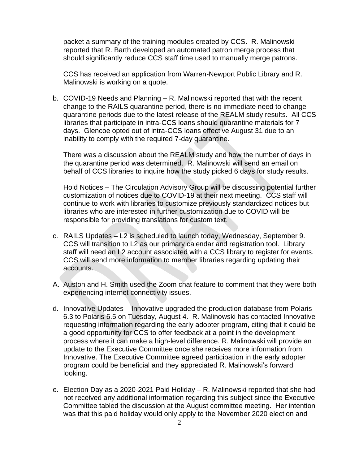packet a summary of the training modules created by CCS. R. Malinowski reported that R. Barth developed an automated patron merge process that should significantly reduce CCS staff time used to manually merge patrons.

CCS has received an application from Warren-Newport Public Library and R. Malinowski is working on a quote.

b. COVID-19 Needs and Planning – R. Malinowski reported that with the recent change to the RAILS quarantine period, there is no immediate need to change quarantine periods due to the latest release of the REALM study results. All CCS libraries that participate in intra-CCS loans should quarantine materials for 7 days. Glencoe opted out of intra-CCS loans effective August 31 due to an inability to comply with the required 7-day quarantine.

There was a discussion about the REALM study and how the number of days in the quarantine period was determined. R. Malinowski will send an email on behalf of CCS libraries to inquire how the study picked 6 days for study results.

Hold Notices – The Circulation Advisory Group will be discussing potential further customization of notices due to COVID-19 at their next meeting. CCS staff will continue to work with libraries to customize previously standardized notices but libraries who are interested in further customization due to COVID will be responsible for providing translations for custom text.

- c. RAILS Updates L2 is scheduled to launch today, Wednesday, September 9. CCS will transition to L2 as our primary calendar and registration tool. Library staff will need an L2 account associated with a CCS library to register for events. CCS will send more information to member libraries regarding updating their accounts.
- A. Auston and H. Smith used the Zoom chat feature to comment that they were both experiencing internet connectivity issues.
- d. Innovative Updates Innovative upgraded the production database from Polaris 6.3 to Polaris 6.5 on Tuesday, August 4. R. Malinowski has contacted Innovative requesting information regarding the early adopter program, citing that it could be a good opportunity for CCS to offer feedback at a point in the development process where it can make a high-level difference. R. Malinowski will provide an update to the Executive Committee once she receives more information from Innovative. The Executive Committee agreed participation in the early adopter program could be beneficial and they appreciated R. Malinowski's forward looking.
- e. Election Day as a 2020-2021 Paid Holiday R. Malinowski reported that she had not received any additional information regarding this subject since the Executive Committee tabled the discussion at the August committee meeting. Her intention was that this paid holiday would only apply to the November 2020 election and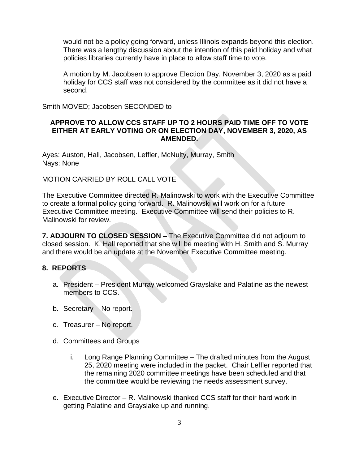would not be a policy going forward, unless Illinois expands beyond this election. There was a lengthy discussion about the intention of this paid holiday and what policies libraries currently have in place to allow staff time to vote.

A motion by M. Jacobsen to approve Election Day, November 3, 2020 as a paid holiday for CCS staff was not considered by the committee as it did not have a second.

Smith MOVED; Jacobsen SECONDED to

#### **APPROVE TO ALLOW CCS STAFF UP TO 2 HOURS PAID TIME OFF TO VOTE EITHER AT EARLY VOTING OR ON ELECTION DAY, NOVEMBER 3, 2020, AS AMENDED.**

Ayes: Auston, Hall, Jacobsen, Leffler, McNulty, Murray, Smith Nays: None

#### MOTION CARRIED BY ROLL CALL VOTE

The Executive Committee directed R. Malinowski to work with the Executive Committee to create a formal policy going forward. R. Malinowski will work on for a future Executive Committee meeting. Executive Committee will send their policies to R. Malinowski for review.

**7. ADJOURN TO CLOSED SESSION –** The Executive Committee did not adjourn to closed session. K. Hall reported that she will be meeting with H. Smith and S. Murray and there would be an update at the November Executive Committee meeting.

## **8. REPORTS**

- a. President President Murray welcomed Grayslake and Palatine as the newest members to CCS.
- b. Secretary No report.
- c. Treasurer No report.
- d. Committees and Groups
	- i. Long Range Planning Committee The drafted minutes from the August 25, 2020 meeting were included in the packet. Chair Leffler reported that the remaining 2020 committee meetings have been scheduled and that the committee would be reviewing the needs assessment survey.
- e. Executive Director R. Malinowski thanked CCS staff for their hard work in getting Palatine and Grayslake up and running.